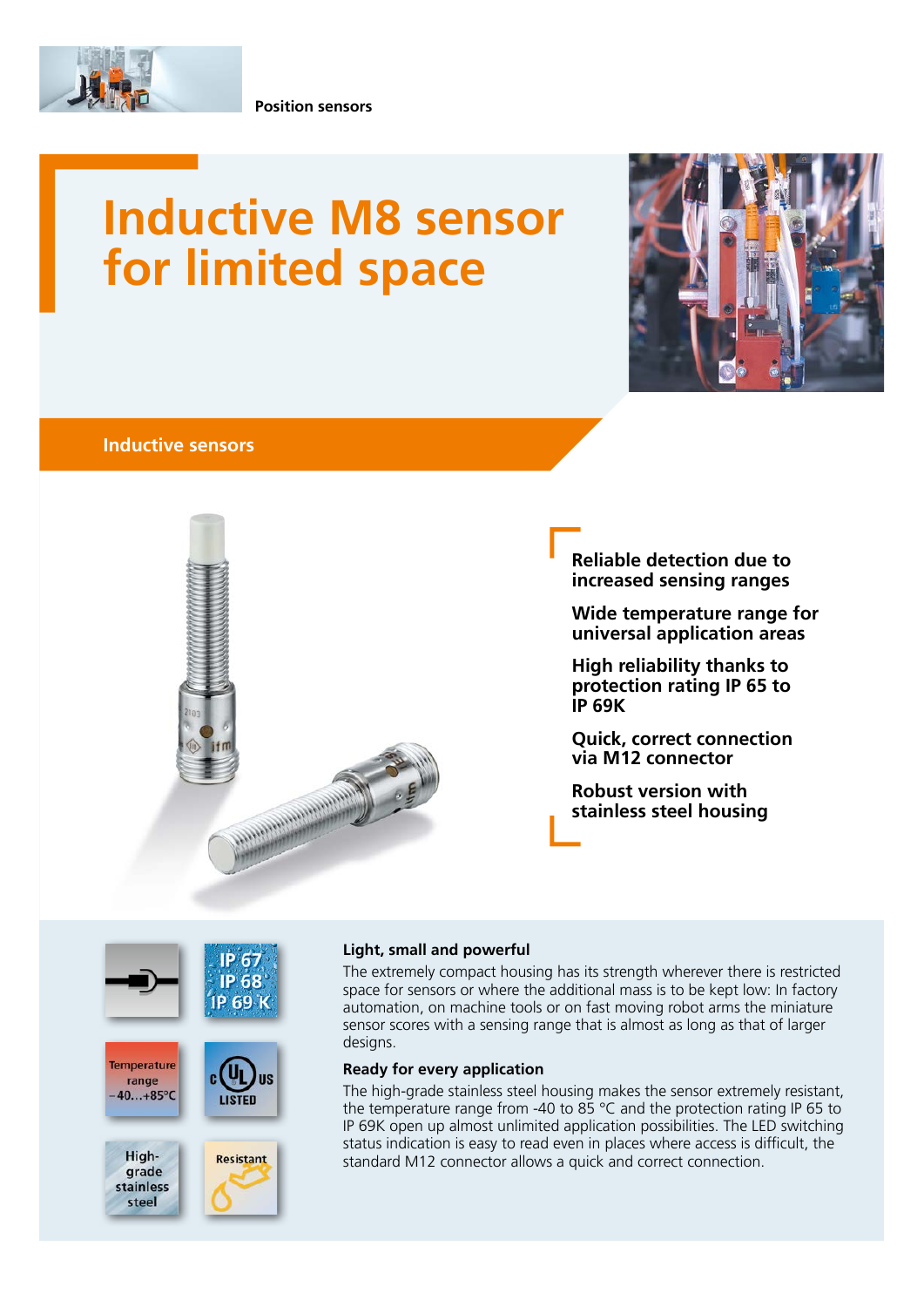

**Position sensors**

# **Inductive M8 sensor for limited space**



## **Inductive sensors**



**Reliable detection due to increased sensing ranges**

**Wide temperature range for universal application areas**

**High reliability thanks to protection rating IP 65 to IP 69K**

**Quick, correct connection via M12 connector**

**Robust version with stainless steel housing**



#### **Light, small and powerful**

The extremely compact housing has its strength wherever there is restricted space for sensors or where the additional mass is to be kept low: In factory automation, on machine tools or on fast moving robot arms the miniature sensor scores with a sensing range that is almost as long as that of larger designs.

#### **Ready for every application**

The high-grade stainless steel housing makes the sensor extremely resistant, the temperature range from -40 to 85 °C and the protection rating IP 65 to IP 69K open up almost unlimited application possibilities. The LED switching status indication is easy to read even in places where access is difficult, the standard M12 connector allows a quick and correct connection.